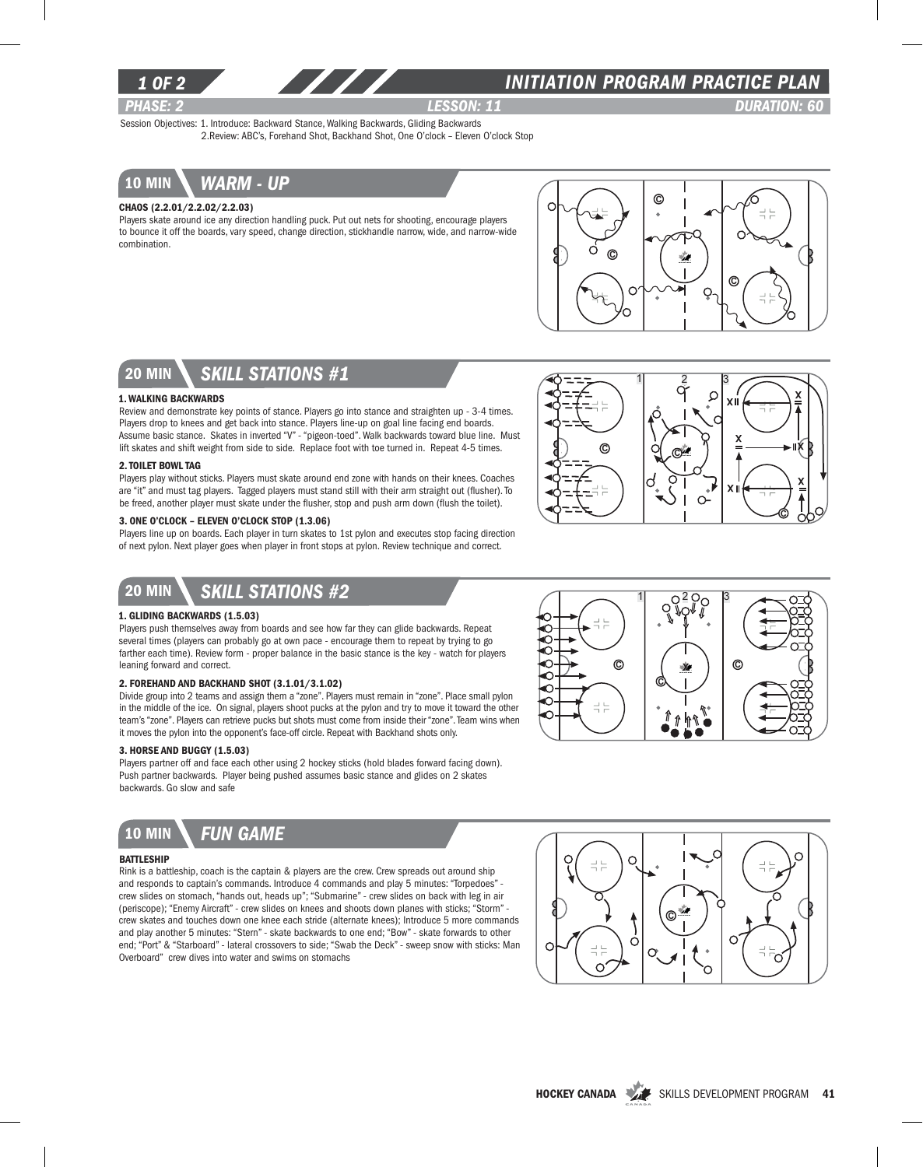

### *INITIATION program PRACTICE PLAN*

*PHASE: 2 Lesson: 11 DURATION: 60*  Session Objectives: 1. Introduce: Backward Stance, Walking Backwards, Gliding Backwards 2.Review: ABC's, Forehand Shot, Backhand Shot, One O'clock – Eleven O'clock Stop

10 min *warm - up*

#### Chaos (2.2.01/2.2.02/2.2.03)

Players skate around ice any direction handling puck. Put out nets for shooting, encourage players to bounce it off the boards, vary speed, change direction, stickhandle narrow, wide, and narrow-wide combination.



## 20 min *skill stations #1*

#### 1. Walking Backwards

Review and demonstrate key points of stance. Players go into stance and straighten up - 3-4 times. Players drop to knees and get back into stance. Players line-up on goal line facing end boards. Assume basic stance. Skates in inverted "V" - "pigeon-toed". Walk backwards toward blue line. Must lift skates and shift weight from side to side. Replace foot with toe turned in. Repeat 4-5 times.

#### 2. Toilet Bowl Tag

Players play without sticks. Players must skate around end zone with hands on their knees. Coaches are "it" and must tag players. Tagged players must stand still with their arm straight out (flusher). To be freed, another player must skate under the flusher, stop and push arm down (flush the toilet).

#### 3. One O'clock – Eleven O'clock Stop (1.3.06)

Players line up on boards. Each player in turn skates to 1st pylon and executes stop facing direction of next pylon. Next player goes when player in front stops at pylon. Review technique and correct.



## 20 min *skill stations #2*

#### 1. Gliding Backwards (1.5.03)

Players push themselves away from boards and see how far they can glide backwards. Repeat several times (players can probably go at own pace - encourage them to repeat by trying to go farther each time). Review form - proper balance in the basic stance is the key - watch for players leaning forward and correct.

#### 2. Forehand and Backhand Shot (3.1.01/3.1.02)

Divide group into 2 teams and assign them a "zone". Players must remain in "zone". Place small pylon in the middle of the ice. On signal, players shoot pucks at the pylon and try to move it toward the other team's "zone". Players can retrieve pucks but shots must come from inside their "zone". Team wins when it moves the pylon into the opponent's face-off circle. Repeat with Backhand shots only.

#### 3. Horse and Buggy (1.5.03)

Players partner off and face each other using 2 hockey sticks (hold blades forward facing down). Push partner backwards. Player being pushed assumes basic stance and glides on 2 skates backwards. Go slow and safe



#### **BATTLESHIP**

Rink is a battleship, coach is the captain & players are the crew. Crew spreads out around ship and responds to captain's commands. Introduce 4 commands and play 5 minutes: "Torpedoes" crew slides on stomach, "hands out, heads up"; "Submarine" - crew slides on back with leg in air (periscope); "Enemy Aircraft" - crew slides on knees and shoots down planes with sticks; "Storm" crew skates and touches down one knee each stride (alternate knees); Introduce 5 more commands and play another 5 minutes: "Stern" - skate backwards to one end; "Bow" - skate forwards to other end; "Port" & "Starboard" - lateral crossovers to side; "Swab the Deck" - sweep snow with sticks: Man Overboard" crew dives into water and swims on stomachs





O<sup>2</sup>

റ